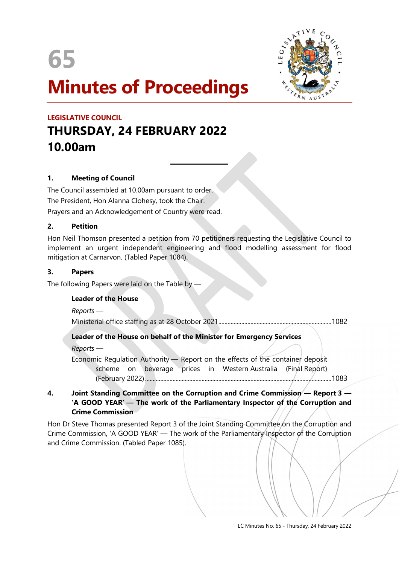65



# Minutes of Proceedings

 $\overline{a}$ 

# LEGISLATIVE COUNCIL THURSDAY, 24 FEBRUARY 2022 10.00am

# 1. Meeting of Council

The Council assembled at 10.00am pursuant to order. The President, Hon Alanna Clohesy, took the Chair. Prayers and an Acknowledgement of Country were read.

### 2. Petition

Hon Neil Thomson presented a petition from 70 petitioners requesting the Legislative Council to implement an urgent independent engineering and flood modelling assessment for flood mitigation at Carnarvon. (Tabled Paper 1084).

#### 3. Papers

The following Papers were laid on the Table by —

# Leader of the House

Reports — Ministerial office staffing as at 28 October 2021 .......................................................................... 1082

# Leader of the House on behalf of the Minister for Emergency Services

Reports —

Economic Regulation Authority — Report on the effects of the container deposit scheme on beverage prices in Western Australia (Final Report) (February 2022) .......................................................................................................................... 1083

## 4. Joint Standing Committee on the Corruption and Crime Commission - Report 3 -'A GOOD YEAR' — The work of the Parliamentary Inspector of the Corruption and Crime Commission

Hon Dr Steve Thomas presented Report 3 of the Joint Standing Committee on the Corruption and Crime Commission, 'A GOOD YEAR' — The work of the Parliamentary Inspector of the Corruption and Crime Commission. (Tabled Paper 1085).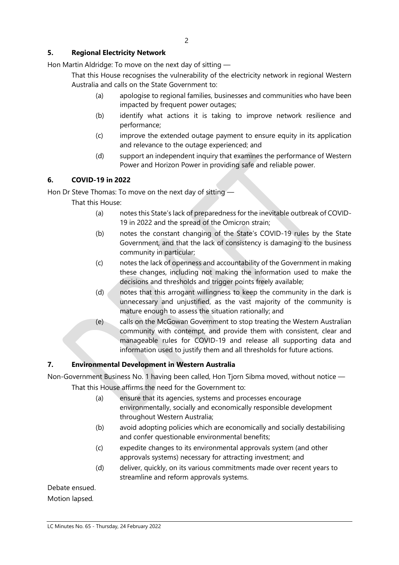# 5. Regional Electricity Network

Hon Martin Aldridge: To move on the next day of sitting —

That this House recognises the vulnerability of the electricity network in regional Western Australia and calls on the State Government to:

- (a) apologise to regional families, businesses and communities who have been impacted by frequent power outages;
- (b) identify what actions it is taking to improve network resilience and performance;
- (c) improve the extended outage payment to ensure equity in its application and relevance to the outage experienced; and
- (d) support an independent inquiry that examines the performance of Western Power and Horizon Power in providing safe and reliable power.

# 6. COVID-19 in 2022

Hon Dr Steve Thomas: To move on the next day of sitting —

That this House:

- (a) notes this State's lack of preparedness for the inevitable outbreak of COVID-19 in 2022 and the spread of the Omicron strain;
- (b) notes the constant changing of the State's COVID-19 rules by the State Government, and that the lack of consistency is damaging to the business community in particular;
- (c) notes the lack of openness and accountability of the Government in making these changes, including not making the information used to make the decisions and thresholds and trigger points freely available;
- (d) notes that this arrogant willingness to keep the community in the dark is unnecessary and unjustified, as the vast majority of the community is mature enough to assess the situation rationally; and
- (e) calls on the McGowan Government to stop treating the Western Australian community with contempt, and provide them with consistent, clear and manageable rules for COVID-19 and release all supporting data and information used to justify them and all thresholds for future actions.

# 7. Environmental Development in Western Australia

Non-Government Business No. 1 having been called, Hon Tjorn Sibma moved, without notice — That this House affirms the need for the Government to:

- (a) ensure that its agencies, systems and processes encourage environmentally, socially and economically responsible development throughout Western Australia;
- (b) avoid adopting policies which are economically and socially destabilising and confer questionable environmental benefits;
- (c) expedite changes to its environmental approvals system (and other approvals systems) necessary for attracting investment; and
- (d) deliver, quickly, on its various commitments made over recent years to streamline and reform approvals systems.

Debate ensued. Motion lapsed.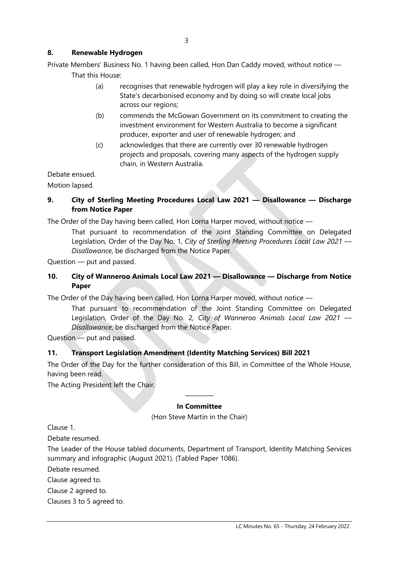# 8. Renewable Hydrogen

Private Members' Business No. 1 having been called, Hon Dan Caddy moved, without notice — That this House:

- (a) recognises that renewable hydrogen will play a key role in diversifying the State's decarbonised economy and by doing so will create local jobs across our regions;
- (b) commends the McGowan Government on its commitment to creating the investment environment for Western Australia to become a significant producer, exporter and user of renewable hydrogen; and
- (c) acknowledges that there are currently over 30 renewable hydrogen projects and proposals, covering many aspects of the hydrogen supply chain, in Western Australia.

Debate ensued. Motion lapsed.

# 9. City of Sterling Meeting Procedures Local Law 2021 — Disallowance — Discharge from Notice Paper

The Order of the Day having been called, Hon Lorna Harper moved, without notice —

That pursuant to recommendation of the Joint Standing Committee on Delegated Legislation, Order of the Day No. 1, City of Sterling Meeting Procedures Local Law 2021 — Disallowance, be discharged from the Notice Paper.

Question — put and passed.

# 10. City of Wanneroo Animals Local Law 2021 — Disallowance — Discharge from Notice Paper

The Order of the Day having been called, Hon Lorna Harper moved, without notice —

That pursuant to recommendation of the Joint Standing Committee on Delegated Legislation, Order of the Day No. 2, City of Wanneroo Animals Local Law 2021 -Disallowance, be discharged from the Notice Paper.

Question — put and passed.

# 11. Transport Legislation Amendment (Identity Matching Services) Bill 2021

The Order of the Day for the further consideration of this Bill, in Committee of the Whole House, having been read.

The Acting President left the Chair.

#### ———— In Committee

(Hon Steve Martin in the Chair)

Clause 1.

Debate resumed.

The Leader of the House tabled documents, Department of Transport, Identity Matching Services summary and infographic (August 2021). (Tabled Paper 1086).

Debate resumed.

Clause agreed to.

Clause 2 agreed to.

Clauses 3 to 5 agreed to.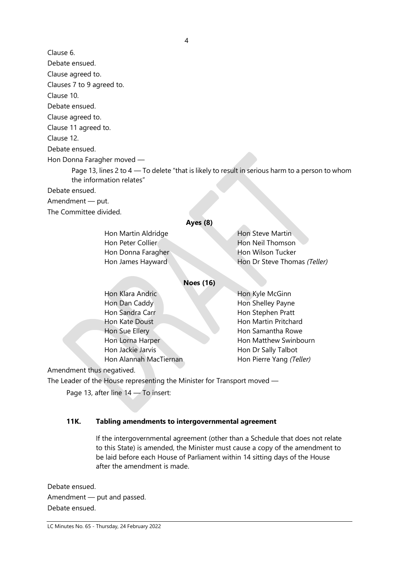Clause 6.

Debate ensued.

Clause agreed to.

Clauses 7 to 9 agreed to.

Clause 10.

Debate ensued.

Clause agreed to.

Clause 11 agreed to.

Clause 12.

Debate ensued.

Hon Donna Faragher moved —

Page 13, lines 2 to 4 — To delete "that is likely to result in serious harm to a person to whom the information relates"

Debate ensued.

Amendment — put.

The Committee divided.

# Ayes (8)

| Hon Martin Aldridge | Hon Steve Martin             |
|---------------------|------------------------------|
| Hon Peter Collier   | Hon Neil Thomson             |
| Hon Donna Faragher  | Hon Wilson Tucker            |
| Hon James Hayward   | Hon Dr Steve Thomas (Teller) |
|                     |                              |

# Noes (16)

| Hon Klara Andric       | Hon Kyle McGinn          |
|------------------------|--------------------------|
| Hon Dan Caddy          | Hon Shelley Payne        |
| Hon Sandra Carr        | Hon Stephen Pratt        |
| Hon Kate Doust         | Hon Martin Pritchard     |
| Hon Sue Ellery         | Hon Samantha Rowe        |
| Hon Lorna Harper       | Hon Matthew Swinbourn    |
| Hon Jackie Jarvis      | Hon Dr Sally Talbot      |
| Hon Alannah MacTiernan | Hon Pierre Yang (Teller) |
|                        |                          |

Amendment thus negatived.

The Leader of the House representing the Minister for Transport moved —

Page 13, after line 14 — To insert:

# 11K. Tabling amendments to intergovernmental agreement

If the intergovernmental agreement (other than a Schedule that does not relate to this State) is amended, the Minister must cause a copy of the amendment to be laid before each House of Parliament within 14 sitting days of the House after the amendment is made.

Debate ensued. Amendment — put and passed. Debate ensued.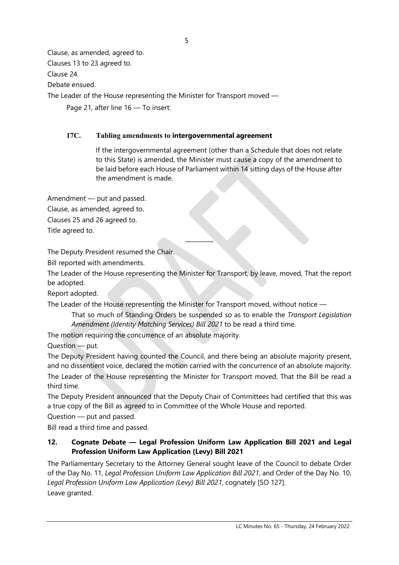Clause, as amended, agreed to. Clauses 13 to 23 agreed to. Clause 24. Debate ensued. The Leader of the House representing the Minister for Transport moved —

Page 21, after line 16 - To insert:

# 17C. Tabling amendments to intergovernmental agreement

 If the intergovernmental agreement (other than a Schedule that does not relate to this State) is amended, the Minister must cause a copy of the amendment to be laid before each House of Parliament within 14 sitting days of the House after the amendment is made.

Amendment — put and passed.

Clause, as amended, agreed to.

Clauses 25 and 26 agreed to.

Title agreed to.

The Deputy President resumed the Chair.

Bill reported with amendments.

The Leader of the House representing the Minister for Transport, by leave, moved, That the report be adopted.

————

Report adopted.

The Leader of the House representing the Minister for Transport moved, without notice —

That so much of Standing Orders be suspended so as to enable the Transport Legislation Amendment (Identity Matching Services) Bill 2021 to be read a third time.

The motion requiring the concurrence of an absolute majority.

Question — put.

The Deputy President having counted the Council, and there being an absolute majority present, and no dissentient voice, declared the motion carried with the concurrence of an absolute majority. The Leader of the House representing the Minister for Transport moved, That the Bill be read a third time.

The Deputy President announced that the Deputy Chair of Committees had certified that this was a true copy of the Bill as agreed to in Committee of the Whole House and reported.

Question — put and passed.

Bill read a third time and passed.

# 12. Cognate Debate — Legal Profession Uniform Law Application Bill 2021 and Legal Profession Uniform Law Application (Levy) Bill 2021

The Parliamentary Secretary to the Attorney General sought leave of the Council to debate Order of the Day No. 11, Legal Profession Uniform Law Application Bill 2021, and Order of the Day No. 10, Legal Profession Uniform Law Application (Levy) Bill 2021, cognately [SO 127]. Leave granted.